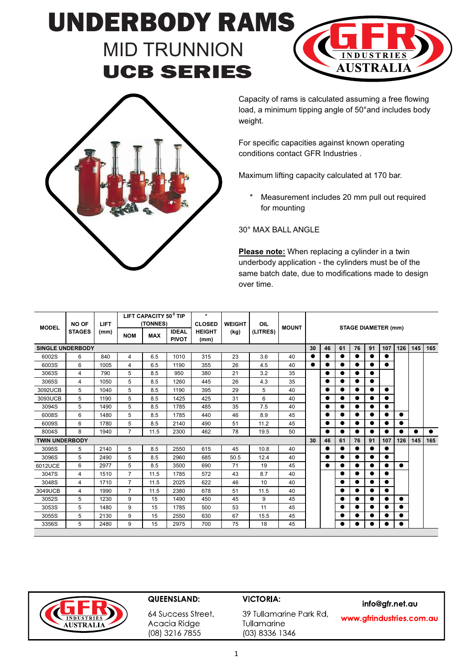## UNDERBODY RAMS MID TRUNNION UCB SERIES





Capacity of rams is calculated assuming a free flowing load, a minimum tipping angle of 50°and includes body weight.

For specific capacities against known operating conditions contact GFR Industries .

Maximum lifting capacity calculated at 170 bar.

\* Measurement includes 20 mm pull out required for mounting

30° MAX BALL ANGLE

**Please note:** When replacing a cylinder in a twin underbody application - the cylinders must be of the same batch date, due to modifications made to design over time.

| <b>MODEL</b>            | <b>NO OF</b><br><b>STAGES</b> | <b>LIFT</b> |                | LIFT CAPACITY 50 <sup>°</sup> TIP<br>(TONNES) |                              | $\ast$<br><b>CLOSED</b> | <b>WEIGHT</b> | OIL<br>(LITRES) | <b>MOUNT</b> | <b>STAGE DIAMETER (mm)</b> |           |           |           |           |           |           |           |           |
|-------------------------|-------------------------------|-------------|----------------|-----------------------------------------------|------------------------------|-------------------------|---------------|-----------------|--------------|----------------------------|-----------|-----------|-----------|-----------|-----------|-----------|-----------|-----------|
|                         |                               | (mm)        | <b>NOM</b>     | <b>MAX</b>                                    | <b>IDEAL</b><br><b>PIVOT</b> | <b>HEIGHT</b><br>(mm)   | (kg)          |                 |              |                            |           |           |           |           |           |           |           |           |
| <b>SINGLE UNDERBODY</b> |                               |             |                |                                               |                              |                         |               |                 |              | 30                         | 46        | 61        | 76        | 91        | 107       | 126       | 145       | 165       |
| 6002S                   | 6                             | 840         | 4              | 6.5                                           | 1010                         | 315                     | 23            | 3.6             | 40           | $\bullet$                  |           |           |           | $\bullet$ |           |           |           |           |
| 6003S                   | 6                             | 1005        | 4              | 6.5                                           | 1190                         | 355                     | 26            | 4.5             | 40           | $\bullet$                  |           |           | $\bullet$ | $\bullet$ | $\bullet$ |           |           |           |
| 3063S                   | 4                             | 790         | 5              | 8.5                                           | 950                          | 380                     | 21            | 3.2             | 35           |                            | $\bullet$ | ●         | $\bullet$ | $\bullet$ |           | $\bullet$ |           |           |
| 3065S                   | 4                             | 1050        | 5              | 8.5                                           | 1260                         | 445                     | 26            | 4.3             | 35           |                            | $\bullet$ |           | ●         | $\bullet$ |           |           |           |           |
| 3092UCB                 | 5                             | 1040        | 5              | 8.5                                           | 1190                         | 395                     | 29            | 5               | 40           |                            | $\bullet$ | $\bullet$ | $\bullet$ | $\bullet$ | $\bullet$ |           |           |           |
| 3093UCB                 | 5                             | 1190        | 5              | 8.5                                           | 1425                         | 425                     | 31            | 6               | 40           |                            | $\bullet$ | ●         |           |           |           |           |           |           |
| 3094S                   | 5                             | 1490        | 5              | 8.5                                           | 1785                         | 485                     | 35            | 7.5             | 40           |                            |           |           |           | $\bullet$ |           |           |           |           |
| 6008S                   | 6                             | 1480        | 5              | 8.5                                           | 1785                         | 440                     | 46            | 8.9             | 45           |                            | $\bullet$ | $\bullet$ | $\bullet$ | $\bullet$ | $\bullet$ |           |           |           |
| 6009S                   | 6                             | 1780        | 5              | 8.5                                           | 2140                         | 490                     | 51            | 11.2            | 45           |                            | $\bullet$ |           | $\bullet$ | $\bullet$ |           | $\bullet$ |           |           |
| 8004S                   | 8                             | 1940        | $\overline{7}$ | 11.5                                          | 2300                         | 462                     | 78            | 19.5            | 50           |                            | $\bullet$ |           | $\bullet$ | $\bullet$ | $\bullet$ | $\bullet$ | $\bullet$ | $\bullet$ |
| <b>TWIN UNDERBODY</b>   |                               |             |                |                                               |                              |                         |               |                 |              | 30                         | 46        | 61        | 76        | 91        | 107       | 126       | 145       | 165       |
| 3095S                   | 5                             | 2140        | 5              | 8.5                                           | 2550                         | 615                     | 45            | 10.8            | 40           |                            | $\bullet$ | $\bullet$ | $\bullet$ | $\bullet$ | $\bullet$ |           |           |           |
| 3096S                   | 5                             | 2490        | 5              | 8.5                                           | 2960                         | 685                     | 50.5          | 12.4            | 40           |                            |           |           |           | $\bullet$ | $\bullet$ |           |           |           |
| 6012UCE                 | 6                             | 2977        | 5              | 8.5                                           | 3500                         | 690                     | 71            | 19              | 45           |                            | $\bullet$ |           |           | $\bullet$ |           | $\bullet$ |           |           |
| 3047S                   | 4                             | 1510        | $\overline{7}$ | 11.5                                          | 1785                         | 572                     | 43            | 8.7             | 40           |                            |           | ●         | ●         | $\bullet$ | $\bullet$ |           |           |           |
| 3048S                   | 4                             | 1710        | $\overline{7}$ | 11.5                                          | 2025                         | 622                     | 46            | 10              | 40           |                            |           | ●         | $\bullet$ | $\bullet$ | $\bullet$ |           |           |           |
| 3049UCB                 | 4                             | 1990        | $\overline{7}$ | 11.5                                          | 2380                         | 678                     | 51            | 11.5            | 40           |                            |           |           | ●         | $\bullet$ | $\bullet$ |           |           |           |
| 3052S                   | 5                             | 1230        | 9              | 15                                            | 1490                         | 450                     | 45            | 9               | 45           |                            |           |           | ●         | $\bullet$ | $\bullet$ | $\bullet$ |           |           |
| 3053S                   | 5                             | 1480        | 9              | 15                                            | 1785                         | 500                     | 53            | 11              | 45           |                            |           |           |           | $\bullet$ | $\bullet$ |           |           |           |
| 3055S                   | 5                             | 2130        | 9              | 15                                            | 2550                         | 630                     | 67            | 15.5            | 45           |                            |           |           |           |           |           |           |           |           |
| 3356S                   | 5                             | 2480        | 9              | 15                                            | 2975                         | 700                     | 75            | 18              | 45           |                            |           |           |           | ●         | $\bullet$ | $\bullet$ |           |           |

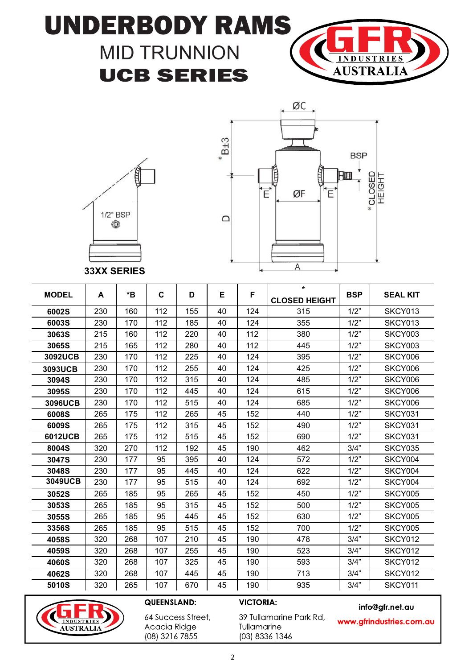# UNDERBODY RAMS MID TRUNNION









**33XX SERIES**

| <b>MODEL</b> | A   | *B  | C   | D   | Е  | F   | $\star$<br><b>CLOSED HEIGHT</b> | <b>BSP</b> | <b>SEAL KIT</b> |
|--------------|-----|-----|-----|-----|----|-----|---------------------------------|------------|-----------------|
| 6002S        | 230 | 160 | 112 | 155 | 40 | 124 | 315                             | 1/2"       | SKCY013         |
| 6003S        | 230 | 170 | 112 | 185 | 40 | 124 | 355                             | 1/2"       | SKCY013         |
| 3063S        | 215 | 160 | 112 | 220 | 40 | 112 | 380                             | 1/2"       | SKCY003         |
| 3065S        | 215 | 165 | 112 | 280 | 40 | 112 | 445                             | 1/2"       | SKCY003         |
| 3092UCB      | 230 | 170 | 112 | 225 | 40 | 124 | 395                             | 1/2"       | SKCY006         |
| 3093UCB      | 230 | 170 | 112 | 255 | 40 | 124 | 425                             | 1/2"       | SKCY006         |
| 3094S        | 230 | 170 | 112 | 315 | 40 | 124 | 485                             | 1/2"       | SKCY006         |
| 3095S        | 230 | 170 | 112 | 445 | 40 | 124 | 615                             | 1/2"       | SKCY006         |
| 3096UCB      | 230 | 170 | 112 | 515 | 40 | 124 | 685                             | 1/2"       | SKCY006         |
| 6008S        | 265 | 175 | 112 | 265 | 45 | 152 | 440                             | 1/2"       | SKCY031         |
| 6009S        | 265 | 175 | 112 | 315 | 45 | 152 | 490                             | 1/2"       | SKCY031         |
| 6012UCB      | 265 | 175 | 112 | 515 | 45 | 152 | 690                             | 1/2"       | SKCY031         |
| 8004S        | 320 | 270 | 112 | 192 | 45 | 190 | 462                             | 3/4"       | SKCY035         |
| 3047S        | 230 | 177 | 95  | 395 | 40 | 124 | 572                             | 1/2"       | SKCY004         |
| 3048S        | 230 | 177 | 95  | 445 | 40 | 124 | 622                             | 1/2"       | SKCY004         |
| 3049UCB      | 230 | 177 | 95  | 515 | 40 | 124 | 692                             | 1/2"       | SKCY004         |
| 3052S        | 265 | 185 | 95  | 265 | 45 | 152 | 450                             | 1/2"       | SKCY005         |
| 3053S        | 265 | 185 | 95  | 315 | 45 | 152 | 500                             | 1/2"       | SKCY005         |
| 3055S        | 265 | 185 | 95  | 445 | 45 | 152 | 630                             | 1/2"       | SKCY005         |
| 3356S        | 265 | 185 | 95  | 515 | 45 | 152 | 700                             | 1/2"       | SKCY005         |
| 4058S        | 320 | 268 | 107 | 210 | 45 | 190 | 478                             | 3/4"       | SKCY012         |
| 4059S        | 320 | 268 | 107 | 255 | 45 | 190 | 523                             | 3/4"       | SKCY012         |
| 4060S        | 320 | 268 | 107 | 325 | 45 | 190 | 593                             | 3/4"       | SKCY012         |
| 4062S        | 320 | 268 | 107 | 445 | 45 | 190 | 713                             | 3/4"       | SKCY012         |
| 5010S        | 320 | 265 | 107 | 670 | 45 | 190 | 935                             | 3/4"       | SKCY011         |



### QUEENSLAND:

**VICTORIA:** 

info@gfr.net.au

64 Success Street, Acacia Ridge (08) 3216 7855

39 Tullamarine Park Rd, Tullamarine (03) 8336 1346

www.gfrindustries.com.au